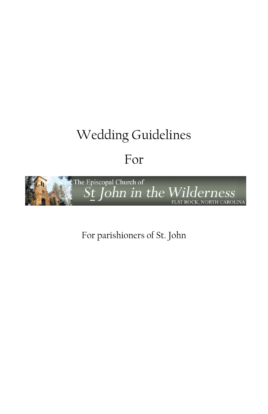# Wedding Guidelines

# For



For parishioners of St. John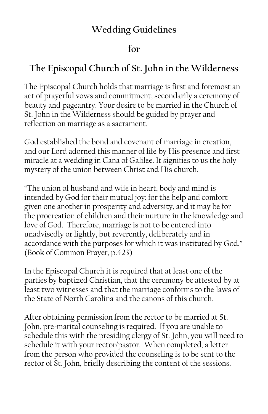# **Wedding Guidelines**

# **for**

# **The Episcopal Church of St. John in the Wilderness**

The Episcopal Church holds that marriage is first and foremost an act of prayerful vows and commitment; secondarily a ceremony of beauty and pageantry. Your desire to be married in the Church of St. John in the Wilderness should be guided by prayer and reflection on marriage as a sacrament.

God established the bond and covenant of marriage in creation, and our Lord adorned this manner of life by His presence and first miracle at a wedding in Cana of Galilee. It signifies to us the holy mystery of the union between Christ and His church.

"The union of husband and wife in heart, body and mind is intended by God for their mutual joy; for the help and comfort given one another in prosperity and adversity, and it may be for the procreation of children and their nurture in the knowledge and love of God. Therefore, marriage is not to be entered into unadvisedly or lightly, but reverently, deliberately and in accordance with the purposes for which it was instituted by God." (Book of Common Prayer, p.423)

In the Episcopal Church it is required that at least one of the parties by baptized Christian, that the ceremony be attested by at least two witnesses and that the marriage conforms to the laws of the State of North Carolina and the canons of this church.

After obtaining permission from the rector to be married at St. John, pre-marital counseling is required. If you are unable to schedule this with the presiding clergy of St. John, you will need to schedule it with your rector/pastor. When completed, a letter from the person who provided the counseling is to be sent to the rector of St. John, briefly describing the content of the sessions.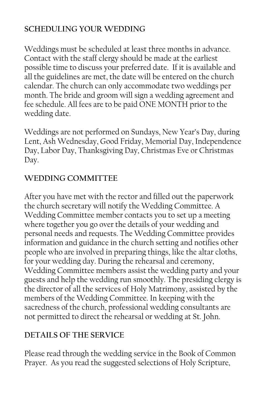#### **SCHEDULING YOUR WEDDING**

Weddings must be scheduled at least three months in advance. Contact with the staff clergy should be made at the earliest possible time to discuss your preferred date. If it is available and all the guidelines are met, the date will be entered on the church calendar. The church can only accommodate two weddings per month. The bride and groom will sign a wedding agreement and fee schedule. All fees are to be paid ONE MONTH prior to the wedding date.

Weddings are not performed on Sundays, New Year's Day, during Lent, Ash Wednesday, Good Friday, Memorial Day, Independence Day, Labor Day, Thanksgiving Day, Christmas Eve or Christmas Day.

#### **WEDDING COMMITTEE**

After you have met with the rector and filled out the paperwork the church secretary will notify the Wedding Committee. A Wedding Committee member contacts you to set up a meeting where together you go over the details of your wedding and personal needs and requests. The Wedding Committee provides information and guidance in the church setting and notifies other people who are involved in preparing things, like the altar cloths, for your wedding day. During the rehearsal and ceremony, Wedding Committee members assist the wedding party and your guests and help the wedding run smoothly. The presiding clergy is the director of all the services of Holy Matrimony, assisted by the members of the Wedding Committee. In keeping with the sacredness of the church, professional wedding consultants are not permitted to direct the rehearsal or wedding at St. John.

# **DETAILS OF THE SERVICE**

Please read through the wedding service in the Book of Common Prayer. As you read the suggested selections of Holy Scripture,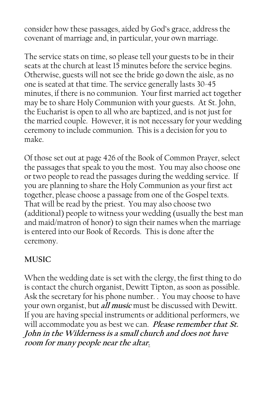consider how these passages, aided by God's grace, address the covenant of marriage and, in particular, your own marriage.

The service stats on time, so please tell your guests to be in their seats at the church at least 15 minutes before the service begins. Otherwise, guests will not see the bride go down the aisle, as no one is seated at that time. The service generally lasts 30-45 minutes, if there is no communion. Your first married act together may be to share Holy Communion with your guests. At St. John, the Eucharist is open to all who are baptized, and is not just for the married couple. However, it is not necessary for your wedding ceremony to include communion. This is a decision for you to make.

Of those set out at page 426 of the Book of Common Prayer, select the passages that speak to you the most. You may also choose one or two people to read the passages during the wedding service. If you are planning to share the Holy Communion as your first act together, please choose a passage from one of the Gospel texts. That will be read by the priest. You may also choose two (additional) people to witness your wedding (usually the best man and maid/matron of honor) to sign their names when the marriage is entered into our Book of Records. This is done after the ceremony.

#### **MUSIC**

When the wedding date is set with the clergy, the first thing to do is contact the church organist, Dewitt Tipton, as soon as possible. Ask the secretary for his phone number. . You may choose to have your own organist, but **all music** must be discussed with Dewitt. If you are having special instruments or additional performers, we will accommodate you as best we can. **Please remember that St. John in the Wilderness is a small church and does not have room for many people near the altar.**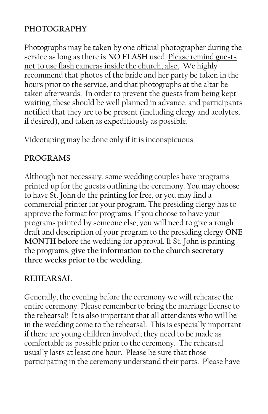#### **PHOTOGRAPHY**

Photographs may be taken by one official photographer during the service as long as there is **NO FLASH** used. Please remind guests not to use flash cameras inside the church, also. We highly recommend that photos of the bride and her party be taken in the hours prior to the service, and that photographs at the altar be taken afterwards. In order to prevent the guests from being kept waiting, these should be well planned in advance, and participants notified that they are to be present (including clergy and acolytes, if desired), and taken as expeditiously as possible.

Videotaping may be done only if it is inconspicuous.

#### **PROGRAMS**

Although not necessary, some wedding couples have programs printed up for the guests outlining the ceremony. You may choose to have St. John do the printing for free, or you may find a commercial printer for your program. The presiding clergy has to approve the format for programs. If you choose to have your programs printed by someone else, you will need to give a rough draft and description of your program to the presiding clergy **ONE MONTH** before the wedding for approval. If St. John is printing the programs, **give the information to the church secretary three weeks prior to the wedding**.

#### **REHEARSAL**

Generally, the evening before the ceremony we will rehearse the entire ceremony. Please remember to bring the marriage license to the rehearsal! It is also important that all attendants who will be in the wedding come to the rehearsal. This is especially important if there are young children involved; they need to be made as comfortable as possible prior to the ceremony. The rehearsal usually lasts at least one hour. Please be sure that those participating in the ceremony understand their parts. Please have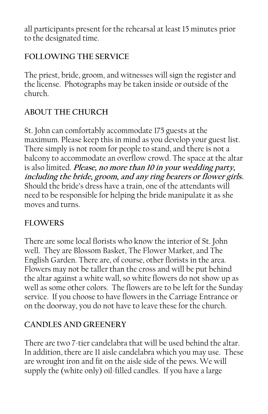all participants present for the rehearsal at least 15 minutes prior to the designated time.

# **FOLLOWING THE SERVICE**

The priest, bride, groom, and witnesses will sign the register and the license. Photographs may be taken inside or outside of the church.

# **ABOUT THE CHURCH**

St. John can comfortably accommodate 175 guests at the maximum. Please keep this in mind as you develop your guest list. There simply is not room for people to stand, and there is not a balcony to accommodate an overflow crowd. The space at the altar is also limited. **Please, no more than 10 in your wedding party, including the bride, groom, and any ring bearers or flower girls.**  Should the bride's dress have a train, one of the attendants will need to be responsible for helping the bride manipulate it as she moves and turns.

# **FLOWERS**

There are some local florists who know the interior of St. John well. They are Blossom Basket, The Flower Market, and The English Garden. There are, of course, other florists in the area. Flowers may not be taller than the cross and will be put behind the altar against a white wall, so white flowers do not show up as well as some other colors. The flowers are to be left for the Sunday service. If you choose to have flowers in the Carriage Entrance or on the doorway, you do not have to leave these for the church.

#### **CANDLES AND GREENERY**

There are two 7-tier candelabra that will be used behind the altar. In addition, there are 11 aisle candelabra which you may use. These are wrought iron and fit on the aisle side of the pews. We will supply the (white only) oil-filled candles. If you have a large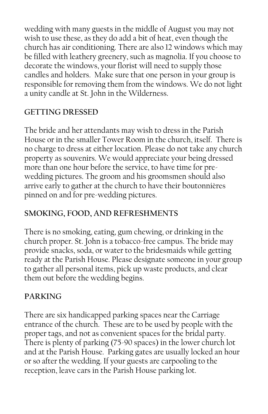wedding with many guests in the middle of August you may not wish to use these, as they do add a bit of heat, even though the church has air conditioning. There are also 12 windows which may be filled with leathery greenery, such as magnolia. If you choose to decorate the windows, your florist will need to supply those candles and holders. Make sure that one person in your group is responsible for removing them from the windows. We do not light a unity candle at St. John in the Wilderness.

#### **GETTING DRESSED**

The bride and her attendants may wish to dress in the Parish House or in the smaller Tower Room in the church, itself. There is no charge to dress at either location. Please do not take any church property as souvenirs. We would appreciate your being dressed more than one hour before the service, to have time for prewedding pictures. The groom and his groomsmen should also arrive early to gather at the church to have their boutonnières pinned on and for pre-wedding pictures.

# **SMOKING, FOOD, AND REFRESHMENTS**

There is no smoking, eating, gum chewing, or drinking in the church proper. St. John is a tobacco-free campus. The bride may provide snacks, soda, or water to the bridesmaids while getting ready at the Parish House. Please designate someone in your group to gather all personal items, pick up waste products, and clear them out before the wedding begins.

# **PARKING**

There are six handicapped parking spaces near the Carriage entrance of the church. These are to be used by people with the proper tags, and not as convenient spaces for the bridal party. There is plenty of parking (75-90 spaces) in the lower church lot and at the Parish House. Parking gates are usually locked an hour or so after the wedding. If your guests are carpooling to the reception, leave cars in the Parish House parking lot.